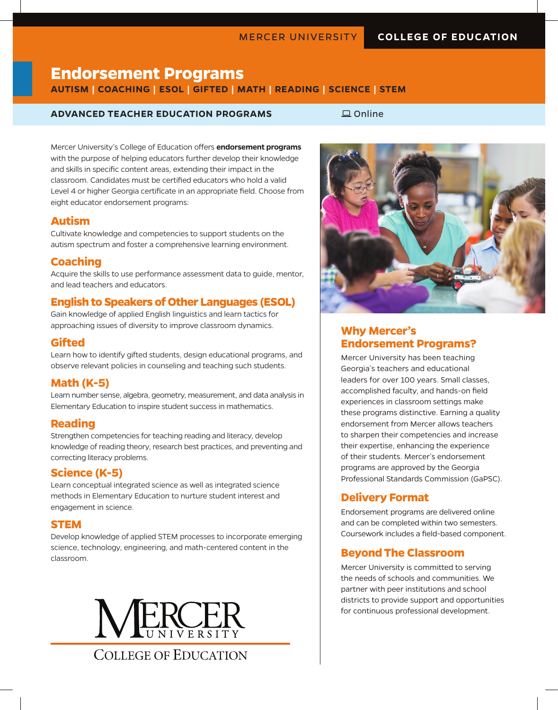# **Endorsement Programs**

**AUTISM | COACHING | ESOL | GIFTED | MATH | READING | SCIENCE | STEM**

#### **ADVANCED TEACHER EDUCATION PROGRAMS**  $\Box$  Online

Mercer University's College of Education offers **endorsement programs**  with the purpose of helping educators further develop their knowledge and skills in specific content areas, extending their impact in the classroom. Candidates must be certified educators who hold a valid Level 4 or higher Georgia certificate in an appropriate field. Choose from eight educator endorsement programs:

#### **Autism**

Cultivate knowledge and competencies to support students on the autism spectrum and foster a comprehensive learning environment.

#### **Coaching**

Acquire the skills to use performance assessment data to guide, mentor, and lead teachers and educators.

# **English to Speakers of Other Languages (ESOL)**

Gain knowledge of applied English linguistics and learn tactics for approaching issues of diversity to improve classroom dynamics.

#### **Gifted**

Learn how to identify gifted students, design educational programs, and observe relevant policies in counseling and teaching such students.

# **Math (K-5)**

Learn number sense, algebra, geometry, measurement, and data analysis in Elementary Education to inspire student success in mathematics.

#### **Reading**

Strengthen competencies for teaching reading and literacy, develop knowledge of reading theory, research best practices, and preventing and correcting literacy problems.

# **Science (K-5)**

Learn conceptual integrated science as well as integrated science methods in Elementary Education to nurture student interest and engagement in science.

#### **STEM**

Develop knowledge of applied STEM processes to incorporate emerging science, technology, engineering, and math-centered content in the classroom.





#### **Why Mercer's Endorsement Programs?**

Mercer University has been teaching Georgia's teachers and educational leaders for over 100 years. Small classes, accomplished faculty, and hands-on field experiences in classroom settings make these programs distinctive. Earning a quality endorsement from Mercer allows teachers to sharpen their competencies and increase their expertise, enhancing the experience of their students. Mercer's endorsement programs are approved by the Georgia Professional Standards Commission (GaPSC).

# **Delivery Format**

Endorsement programs are delivered online and can be completed within two semesters. Coursework includes a field-based component.

#### **Beyond The Classroom**

Mercer University is committed to serving the needs of schools and communities. We partner with peer institutions and school districts to provide support and opportunities for continuous professional development.